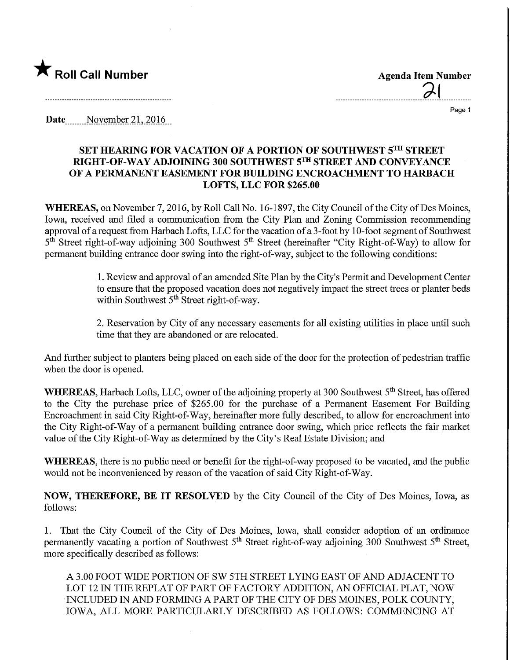

<u>al</u>

Page 1

Date........Noyember 2L.2Q16,

## SET HEAMNG FOR VACATION OF A PORTION OF SOUTHWEST 5™ STREET RIGHT-OF-WAY ADJOINING 300 SOUTHWEST 5™ STREET AND CONVEYANCE OF A PERMANENT EASEMENT FOR BUILDING ENCROACHMENT TO HARBACH LOFTS, LLC FOR \$265.00

WHEREAS, on November 7, 2016, by Roll Call No. 16-1897, the City Council of the City of Des Moines, Iowa, received and filed a communication from the City Plan and Zoning Commission recommending approval of a request from Harbach Lofts, LLC for the vacation of a 3 -foot by 1 0-foot segment of Southwest  $5<sup>th</sup>$  Street right-of-way adjoining 300 Southwest  $5<sup>th</sup>$  Street (hereinafter "City Right-of-Way) to allow for permanent building entrance door swing into the right-of-way, subject to the following conditions:

> 1. Review and approval of an amended Site Plan by the City's Permit and Development Center to ensure that the proposed vacation does not negatively impact the street trees or planter beds within Southwest  $5<sup>th</sup>$  Street right-of-way.

> 2. Reservation by City of any necessary easements for all existing utilities in place until such time that they are abandoned or are relocated.

And further subject to planters being placed on each side of the door for the protection of pedestrian traffic when the door is opened.

WHEREAS, Harbach Lofts, LLC, owner of the adjoining property at 300 Southwest 5<sup>th</sup> Street, has offered to the City the purchase price of \$265.00 for the purchase of a Permanent Easement For Building Encroachment in said City Right-of-Way, hereinafter more fully described, to allow for encroachment into the City Right-of-Way of a permanent building entrance door swing, which price reflects the fair market value of the City Right-of-Way as determined by the City's Real Estate Division; and

WHEREAS, there is no public need or benefit for the right-of-way proposed to be vacated, and the public would not be inconvenienced by reason of the vacation of said City Right-of-Way.

NOW, THEREFORE, BE IT RESOLVED by the City Council of the City of Des Moines, Iowa, as follows:

1. That the City Council of the City of Des Moines, Iowa, shall consider adoption of an ordinance permanently vacating a portion of Southwest 5<sup>th</sup> Street right-of-way adjoining 300 Southwest 5<sup>th</sup> Street, more specifically described as follows:

A 3.00 FOOT WIDE PORTION OF SW 5TH STREET LYING EAST OF AND ADJACENT TO LOT 12 IN THE REPEAT OF PART OF FACTORY ADDITION, AN OFFICIAL PLAT, NOW INCLUDED IN AND FORMING A PART OF THE CITY OF DES MOINES, POLK COUNTY, IOWA, ALL MORE PARTICULARLY DESCRIBED AS FOLLOWS: COMMENCING AT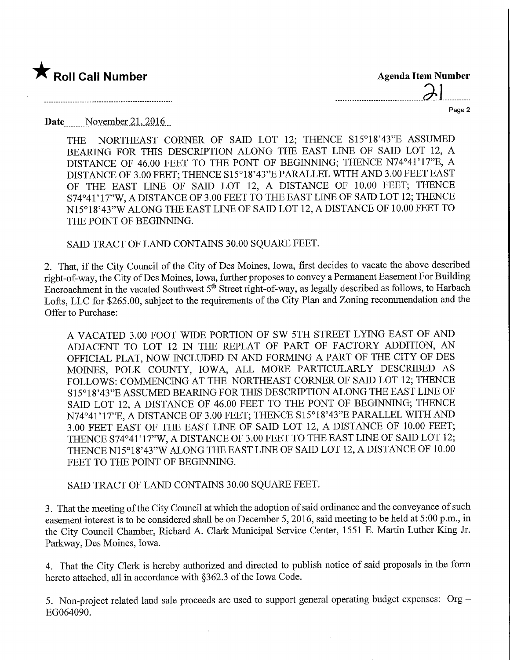

| <b>Agenda Item Number</b> |  |  |  |  |  |
|---------------------------|--|--|--|--|--|
| $\partial$                |  |  |  |  |  |
| Page 2                    |  |  |  |  |  |

 $\overline{a}$ 

Date....... November 21^2016,

THE NORTHEAST CORNER OF SAID LOT 12; THENCE S15°18'43"E ASSUMED BEARING FOR THIS DESCRIPTION ALONG THE EAST LINE OF SAID LOT 12, A DISTANCE OF 46.00 FEET TO THE FONT OF BEGINNING; THENCE N74°41'17"E, A DISTANCE OF 3.00 FEET; THENCE S15°18'43"E PARALLEL WITH AND 3.00 FEET EAST OF THE EAST LINE OF SAID LOT 12, A DISTANCE OF 10.00 FEET; THENCE S74°41' 17"W, A DISTANCE OF 3.00 FEET TO THE EAST LINE OF SAID LOT 12; THENCE N15°18'43"W ALONG THE EAST LINE OF SAID LOT 12, A DISTANCE OF 10.00 FEET TO THE POINT OF BEGINNING.

SAID TRACT OF LAND CONTAINS 30.00 SQUARE FEET.

2. That, if the City Council of the City of Des Moines, Iowa, first decides to vacate the above described right-of-way, the City of Des Moines, Iowa, further proposes to convey a Permanent Easement For Building Encroachment in the vacated Southwest 5<sup>th</sup> Street right-of-way, as legally described as follows, to Harbach Lofts, LLC for \$265.00, subject to the requirements of the City Plan and Zoning recommendation and the Offer to Purchase:

A VACATED 3.00 FOOT WIDE PORTION OF SW 5TH STREET LYING EAST OF AND ADJACENT TO LOT 12 IN THE REPLAT OF PART OF FACTORY ADDITION, AN OFFICIAL PLAT, NOW INCLUDED IN AND FORMING A PART OF THE CITY OF DES MOINES, POLK COUNTY, IOWA, ALL MORE PARTICULARLY DESCRIBED AS FOLLOWS: COMMENCING AT THE NORTHEAST CORNER OF SAID LOT 12; THENCE S15°18'43"E ASSUMED BEARING FOR THIS DESCRIPTION ALONG THE EAST LINE OF SAID LOT 12, A DISTANCE OF 46.00 FEET TO THE FONT OF BEGINNING; THENCE N74°41'17"E, A DISTANCE OF 3.00 FEET; THENCE S15°18'43"E PARALLEL WITH AND 3.00 FEET EAST OF THE EAST LINE OF SAID LOT 12, A DISTANCE OF 10.00 FEET; THENCE S74°41'17"W, A DISTANCE OF 3.00 FEET TO THE EAST LINE OF SAID LOT 12; THENCE N15°18'43"W ALONG THE EAST LINE OF SAID LOT 12, A DISTANCE OF 10.00 FEET TO THE POINT OF BEGINNING.

SAID TRACT OF LAND CONTAINS 30.00 SQUARE FEET.

 $\bar{\gamma}$ 

3. That the meeting of the City Council at which the adoption of said ordinance and the conveyance of such easement interest is to be considered shall be on December 5, 2016, said meeting to be held at 5:00 p.m., in the City Council Chamber, Richard A. Clark Municipal Service Center, 1551 E. Martin Luther King Jr. Parkway, Des Moines, Iowa.

4. That the City Clerk is hereby authorized and directed to publish notice of said proposals in the form hereto attached, all in accordance with §362.3 of the Iowa Code.

5. Non-project related land sale proceeds are used to support general operating budget expenses: Org -EG064090.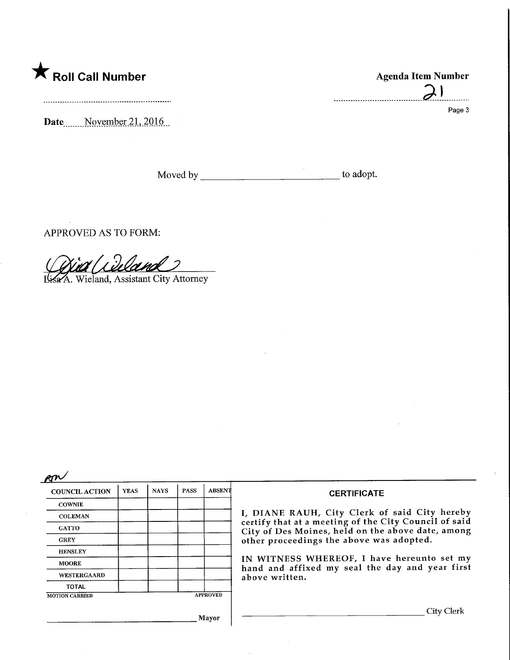

Date<sub>Movember 21, 2016</sub>

Moved by to adopt.

APPROVED AS TO FORM:

Wieland, Assistant City Attorney

p $\bm{\kappa}$ 

| <b>COUNCIL ACTION</b> | <b>YEAS</b> | <b>NAYS</b> | <b>PASS</b> | <b>ABSENT</b>   |
|-----------------------|-------------|-------------|-------------|-----------------|
| <b>COWNIE</b>         |             |             |             |                 |
| <b>COLEMAN</b>        |             |             |             |                 |
| <b>GATTO</b>          |             |             |             |                 |
| <b>GREY</b>           |             |             |             |                 |
| <b>HENSLEY</b>        |             |             |             |                 |
| <b>MOORE</b>          |             |             |             |                 |
| WESTERGAARD           |             |             |             |                 |
| TOTAL                 |             |             |             |                 |
| <b>MOTION CARRIED</b> |             |             |             | <b>APPROVED</b> |

Mayor

## Agenda Item Number  $\sum_{i=1}^n$

Page 3

**CERTIFICATE** 

I, DIANE RAUH, City Clerk of said City hereby certify that at a meeting of the City Council of said of Des Moines, held on the above date, among r proceedings the above was adopted.

IN WITNESS WHEREOF, I have hereunto set my d and affixed my seal the day and year first ve written.

. City Clerk